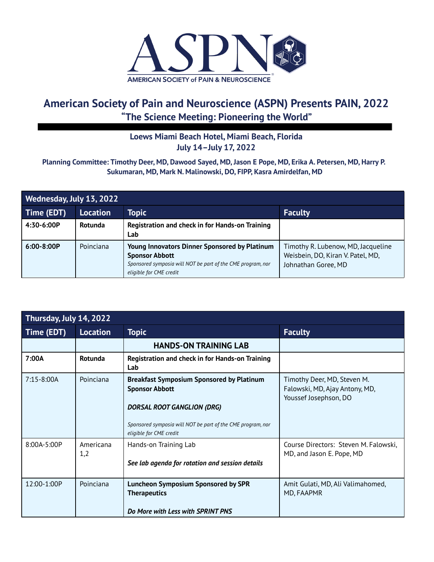

# **American Society of Pain and Neuroscience (ASPN) Presents PAIN, 2022 "The Science Meeting: Pioneering the World"**

## **Loews Miami Beach Hotel, Miami Beach, Florida July 14–July 17, 2022**

### Planning Committee: Timothy Deer, MD, Dawood Sayed, MD, Jason E Pope, MD, Erika A. Petersen, MD, Harry P. **Sukumaran, MD, Mark N. Malinowski, DO, FIPP, Kasra Amirdelfan, MD**

| Wednesday, July 13, 2022 |                 |                                                                                                                                                                         |                                                                                                |  |
|--------------------------|-----------------|-------------------------------------------------------------------------------------------------------------------------------------------------------------------------|------------------------------------------------------------------------------------------------|--|
| Time (EDT)               | <b>Location</b> | <b>Topic</b>                                                                                                                                                            | <b>Faculty</b>                                                                                 |  |
| 4:30-6:00P               | Rotunda         | Registration and check in for Hands-on Training<br>Lab                                                                                                                  |                                                                                                |  |
| $6:00-8:00P$             | Poinciana       | <b>Young Innovators Dinner Sponsored by Platinum</b><br><b>Sponsor Abbott</b><br>Sponsored symposia will NOT be part of the CME program, nor<br>eligible for CME credit | Timothy R. Lubenow, MD, Jacqueline<br>Weisbein, DO, Kiran V. Patel, MD,<br>Johnathan Goree, MD |  |

| Thursday, July 14, 2022 |                  |                                                                                                                      |                                                                                        |
|-------------------------|------------------|----------------------------------------------------------------------------------------------------------------------|----------------------------------------------------------------------------------------|
| Time (EDT)              | <b>Location</b>  | <b>Topic</b>                                                                                                         | <b>Faculty</b>                                                                         |
|                         |                  | <b>HANDS-ON TRAINING LAB</b>                                                                                         |                                                                                        |
| 7:00A                   | Rotunda          | <b>Registration and check in for Hands-on Training</b><br>Lab                                                        |                                                                                        |
| $7:15 - 8:00A$          | Poinciana        | <b>Breakfast Symposium Sponsored by Platinum</b><br><b>Sponsor Abbott</b>                                            | Timothy Deer, MD, Steven M.<br>Falowski, MD, Ajay Antony, MD,<br>Youssef Josephson, DO |
|                         |                  | DORSAL ROOT GANGLION (DRG)<br>Sponsored symposia will NOT be part of the CME program, nor<br>eligible for CME credit |                                                                                        |
| 8:00A-5:00P             | Americana<br>1,2 | Hands-on Training Lab<br>See lab agenda for rotation and session details                                             | Course Directors: Steven M. Falowski,<br>MD, and Jason E. Pope, MD                     |
| 12:00-1:00P             | Poinciana        | <b>Luncheon Symposium Sponsored by SPR</b><br><b>Therapeutics</b><br>Do More with Less with SPRINT PNS               | Amit Gulati, MD, Ali Valimahomed,<br>MD, FAAPMR                                        |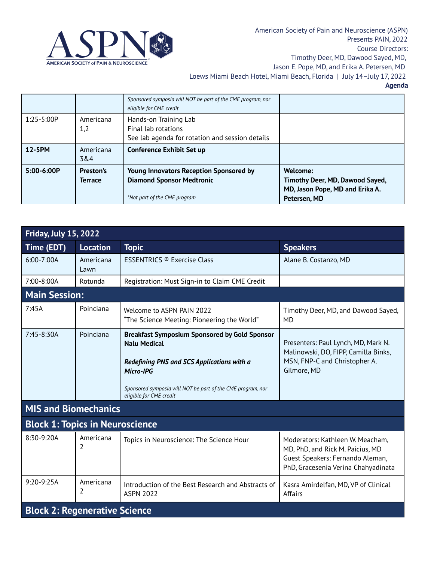

|                |                      | Sponsored symposia will NOT be part of the CME program, nor<br>eligible for CME credit                             |                                                                                                |
|----------------|----------------------|--------------------------------------------------------------------------------------------------------------------|------------------------------------------------------------------------------------------------|
| $1:25 - 5:00P$ | Americana<br>1,2     | Hands-on Training Lab<br>Final lab rotations<br>See lab agenda for rotation and session details                    |                                                                                                |
| 12-5PM         | Americana<br>3&4     | <b>Conference Exhibit Set up</b>                                                                                   |                                                                                                |
| $5:00-6:00P$   | Preston's<br>Terrace | <b>Young Innovators Reception Sponsored by</b><br><b>Diamond Sponsor Medtronic</b><br>*Not part of the CME program | Welcome:<br>Timothy Deer, MD, Dawood Sayed,<br>MD, Jason Pope, MD and Erika A.<br>Petersen, MD |

| <b>Friday, July 15, 2022</b>           |                   |                                                                                                                                                                                                                                  |                                                                                                                                                 |  |
|----------------------------------------|-------------------|----------------------------------------------------------------------------------------------------------------------------------------------------------------------------------------------------------------------------------|-------------------------------------------------------------------------------------------------------------------------------------------------|--|
| Time (EDT)                             | <b>Location</b>   | <b>Topic</b>                                                                                                                                                                                                                     | <b>Speakers</b>                                                                                                                                 |  |
| 6:00-7:00A                             | Americana<br>Lawn | <b>ESSENTRICS ® Exercise Class</b>                                                                                                                                                                                               | Alane B. Costanzo, MD                                                                                                                           |  |
| 7:00-8:00A                             | Rotunda           | Registration: Must Sign-in to Claim CME Credit                                                                                                                                                                                   |                                                                                                                                                 |  |
| <b>Main Session:</b>                   |                   |                                                                                                                                                                                                                                  |                                                                                                                                                 |  |
| 7:45A                                  | Poinciana         | Welcome to ASPN PAIN 2022<br>"The Science Meeting: Pioneering the World"                                                                                                                                                         | Timothy Deer, MD, and Dawood Sayed,<br><b>MD</b>                                                                                                |  |
| 7:45-8:30A                             | Poinciana         | <b>Breakfast Symposium Sponsored by Gold Sponsor</b><br><b>Nalu Medical</b><br>Redefining PNS and SCS Applications with a<br>Micro-IPG<br>Sponsored symposia will NOT be part of the CME program, nor<br>eligible for CME credit | Presenters: Paul Lynch, MD, Mark N.<br>Malinowski, DO, FIPP, Camilla Binks,<br>MSN, FNP-C and Christopher A.<br>Gilmore, MD                     |  |
| <b>MIS and Biomechanics</b>            |                   |                                                                                                                                                                                                                                  |                                                                                                                                                 |  |
| <b>Block 1: Topics in Neuroscience</b> |                   |                                                                                                                                                                                                                                  |                                                                                                                                                 |  |
| $8:30-9:20A$                           | Americana<br>2    | Topics in Neuroscience: The Science Hour                                                                                                                                                                                         | Moderators: Kathleen W. Meacham,<br>MD, PhD, and Rick M. Paicius, MD<br>Guest Speakers: Fernando Aleman,<br>PhD, Gracesenia Verina Chahyadinata |  |
| 9:20-9:25A                             | Americana<br>2    | Introduction of the Best Research and Abstracts of<br><b>ASPN 2022</b>                                                                                                                                                           | Kasra Amirdelfan, MD, VP of Clinical<br>Affairs                                                                                                 |  |
| <b>Block 2: Regenerative Science</b>   |                   |                                                                                                                                                                                                                                  |                                                                                                                                                 |  |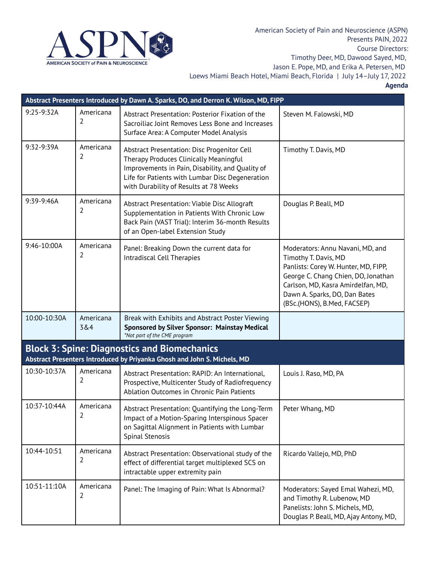

|              | Abstract Presenters Introduced by Dawn A. Sparks, DO, and Derron K. Wilson, MD, FIPP |                                                                                                                                                                                                                                        |                                                                                                                                                                                                                                               |  |  |
|--------------|--------------------------------------------------------------------------------------|----------------------------------------------------------------------------------------------------------------------------------------------------------------------------------------------------------------------------------------|-----------------------------------------------------------------------------------------------------------------------------------------------------------------------------------------------------------------------------------------------|--|--|
| 9:25-9:32A   | Americana<br>2                                                                       | Abstract Presentation: Posterior Fixation of the<br>Sacroiliac Joint Removes Less Bone and Increases<br>Surface Area: A Computer Model Analysis                                                                                        | Steven M. Falowski, MD                                                                                                                                                                                                                        |  |  |
| 9:32-9:39A   | Americana<br>2                                                                       | Abstract Presentation: Disc Progenitor Cell<br>Therapy Produces Clinically Meaningful<br>Improvements in Pain, Disability, and Quality of<br>Life for Patients with Lumbar Disc Degeneration<br>with Durability of Results at 78 Weeks | Timothy T. Davis, MD                                                                                                                                                                                                                          |  |  |
| 9:39-9:46A   | Americana<br>2                                                                       | Abstract Presentation: Viable Disc Allograft<br>Supplementation in Patients With Chronic Low<br>Back Pain (VAST Trial): Interim 36-month Results<br>of an Open-label Extension Study                                                   | Douglas P. Beall, MD                                                                                                                                                                                                                          |  |  |
| 9:46-10:00A  | Americana<br>2                                                                       | Panel: Breaking Down the current data for<br>Intradiscal Cell Therapies                                                                                                                                                                | Moderators: Annu Navani, MD, and<br>Timothy T. Davis, MD<br>Panlists: Corey W. Hunter, MD, FIPP,<br>George C. Chang Chien, DO, Jonathan<br>Carlson, MD, Kasra Amirdelfan, MD,<br>Dawn A. Sparks, DO, Dan Bates<br>(BSc.(HONS), B.Med, FACSEP) |  |  |
| 10:00-10:30A | Americana<br>3&4                                                                     | Break with Exhibits and Abstract Poster Viewing<br>Sponsored by Silver Sponsor: Mainstay Medical<br>*Not part of the CME program                                                                                                       |                                                                                                                                                                                                                                               |  |  |
|              |                                                                                      | <b>Block 3: Spine: Diagnostics and Biomechanics</b><br>Abstract Presenters Introduced by Priyanka Ghosh and John S. Michels, MD                                                                                                        |                                                                                                                                                                                                                                               |  |  |
| 10:30-10:37A | Americana<br>2                                                                       | Abstract Presentation: RAPID: An International,<br>Prospective, Multicenter Study of Radiofrequency<br>Ablation Outcomes in Chronic Pain Patients                                                                                      | Louis J. Raso, MD, PA                                                                                                                                                                                                                         |  |  |
| 10:37-10:44A | Americana<br>2                                                                       | Abstract Presentation: Quantifying the Long-Term<br>Impact of a Motion-Sparing Interspinous Spacer<br>on Sagittal Alignment in Patients with Lumbar<br>Spinal Stenosis                                                                 | Peter Whang, MD                                                                                                                                                                                                                               |  |  |
| 10:44-10:51  | Americana<br>2                                                                       | Abstract Presentation: Observational study of the<br>effect of differential target multiplexed SCS on<br>intractable upper extremity pain                                                                                              | Ricardo Vallejo, MD, PhD                                                                                                                                                                                                                      |  |  |
| 10:51-11:10A | Americana<br>2                                                                       | Panel: The Imaging of Pain: What Is Abnormal?                                                                                                                                                                                          | Moderators: Sayed Emal Wahezi, MD,<br>and Timothy R. Lubenow, MD<br>Panelists: John S. Michels, MD,<br>Douglas P. Beall, MD, Ajay Antony, MD,                                                                                                 |  |  |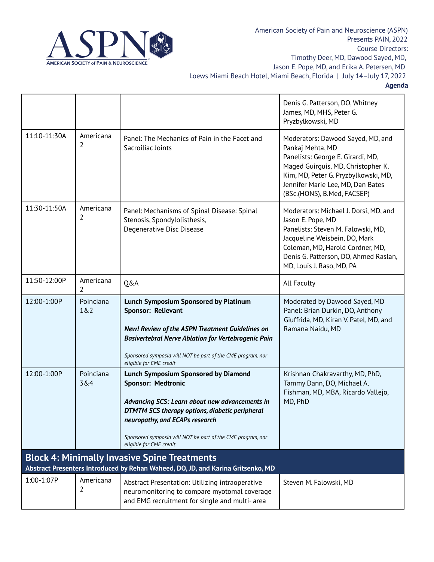

American Society of Pain and Neuroscience (ASPN) Presents PAIN, 2022 Course Directors: Timothy Deer, MD, Dawood Sayed, MD, Jason E. Pope, MD, and Erika A. Petersen, MD

Loews Miami Beach Hotel, Miami Beach, Florida | July 14–July 17, 2022

|              |                  |                                                                                                                                                                                                                                                                                                          | Denis G. Patterson, DO, Whitney<br>James, MD, MHS, Peter G.<br>Pryzbylkowski, MD                                                                                                                                                             |
|--------------|------------------|----------------------------------------------------------------------------------------------------------------------------------------------------------------------------------------------------------------------------------------------------------------------------------------------------------|----------------------------------------------------------------------------------------------------------------------------------------------------------------------------------------------------------------------------------------------|
| 11:10-11:30A | Americana<br>2   | Panel: The Mechanics of Pain in the Facet and<br>Sacroiliac Joints                                                                                                                                                                                                                                       | Moderators: Dawood Sayed, MD, and<br>Pankaj Mehta, MD<br>Panelists: George E. Girardi, MD,<br>Maged Guirguis, MD, Christopher K.<br>Kim, MD, Peter G. Pryzbylkowski, MD,<br>Jennifer Marie Lee, MD, Dan Bates<br>(BSc.(HONS), B.Med, FACSEP) |
| 11:30-11:50A | Americana<br>2   | Panel: Mechanisms of Spinal Disease: Spinal<br>Stenosis, Spondylolisthesis,<br>Degenerative Disc Disease                                                                                                                                                                                                 | Moderators: Michael J. Dorsi, MD, and<br>Jason E. Pope, MD<br>Panelists: Steven M. Falowski, MD,<br>Jacqueline Weisbein, DO, Mark<br>Coleman, MD, Harold Cordner, MD,<br>Denis G. Patterson, DO, Ahmed Raslan,<br>MD, Louis J. Raso, MD, PA  |
| 11:50-12:00P | Americana<br>2   | <b>Q&amp;A</b>                                                                                                                                                                                                                                                                                           | All Faculty                                                                                                                                                                                                                                  |
| 12:00-1:00P  | Poinciana<br>1&2 | <b>Lunch Symposium Sponsored by Platinum</b><br>Sponsor: Relievant<br>New! Review of the ASPN Treatment Guidelines on<br>Basivertebral Nerve Ablation for Vertebrogenic Pain<br>Sponsored symposia will NOT be part of the CME program, nor<br>eligible for CME credit                                   | Moderated by Dawood Sayed, MD<br>Panel: Brian Durkin, DO, Anthony<br>Giuffrida, MD, Kiran V. Patel, MD, and<br>Ramana Naidu, MD                                                                                                              |
| 12:00-1:00P  | Poinciana<br>3&4 | <b>Lunch Symposium Sponsored by Diamond</b><br>Sponsor: Medtronic<br>Advancing SCS: Learn about new advancements in<br><b>DTMTM SCS therapy options, diabetic peripheral</b><br>neuropathy, and ECAPs research<br>Sponsored symposia will NOT be part of the CME program, nor<br>eligible for CME credit | Krishnan Chakravarthy, MD, PhD,<br>Tammy Dann, DO, Michael A.<br>Fishman, MD, MBA, Ricardo Vallejo,<br>MD, PhD                                                                                                                               |
|              |                  | <b>Block 4: Minimally Invasive Spine Treatments</b><br>Abstract Presenters Introduced by Rehan Waheed, DO, JD, and Karina Gritsenko, MD                                                                                                                                                                  |                                                                                                                                                                                                                                              |
| 1:00-1:07P   | Americana<br>2   | Abstract Presentation: Utilizing intraoperative<br>neuromonitoring to compare myotomal coverage<br>and EMG recruitment for single and multi-area                                                                                                                                                         | Steven M. Falowski, MD                                                                                                                                                                                                                       |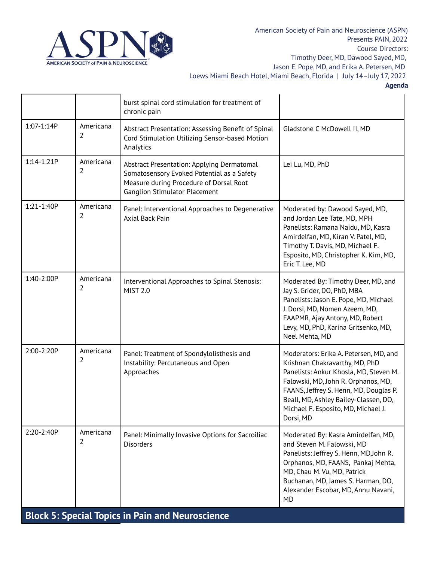

|                                                         |                | burst spinal cord stimulation for treatment of<br>chronic pain                                                                                                              |                                                                                                                                                                                                                                                                                                  |  |
|---------------------------------------------------------|----------------|-----------------------------------------------------------------------------------------------------------------------------------------------------------------------------|--------------------------------------------------------------------------------------------------------------------------------------------------------------------------------------------------------------------------------------------------------------------------------------------------|--|
| 1:07-1:14P                                              | Americana<br>2 | Abstract Presentation: Assessing Benefit of Spinal<br>Cord Stimulation Utilizing Sensor-based Motion<br>Analytics                                                           | Gladstone C McDowell II, MD                                                                                                                                                                                                                                                                      |  |
| 1:14-1:21P                                              | Americana<br>2 | Abstract Presentation: Applying Dermatomal<br>Somatosensory Evoked Potential as a Safety<br>Measure during Procedure of Dorsal Root<br><b>Ganglion Stimulator Placement</b> | Lei Lu, MD, PhD                                                                                                                                                                                                                                                                                  |  |
| 1:21-1:40P                                              | Americana<br>2 | Panel: Interventional Approaches to Degenerative<br>Axial Back Pain                                                                                                         | Moderated by: Dawood Sayed, MD,<br>and Jordan Lee Tate, MD, MPH<br>Panelists: Ramana Naidu, MD, Kasra<br>Amirdelfan, MD, Kiran V. Patel, MD,<br>Timothy T. Davis, MD, Michael F.<br>Esposito, MD, Christopher K. Kim, MD,<br>Eric T. Lee, MD                                                     |  |
| 1:40-2:00P                                              | Americana<br>2 | Interventional Approaches to Spinal Stenosis:<br><b>MIST 2.0</b>                                                                                                            | Moderated By: Timothy Deer, MD, and<br>Jay S. Grider, DO, PhD, MBA<br>Panelists: Jason E. Pope, MD, Michael<br>J. Dorsi, MD, Nomen Azeem, MD,<br>FAAPMR, Ajay Antony, MD, Robert<br>Levy, MD, PhD, Karina Gritsenko, MD,<br>Neel Mehta, MD                                                       |  |
| 2:00-2:20P                                              | Americana<br>2 | Panel: Treatment of Spondylolisthesis and<br>Instability: Percutaneous and Open<br>Approaches                                                                               | Moderators: Erika A. Petersen, MD, and<br>Krishnan Chakravarthy, MD, PhD<br>Panelists: Ankur Khosla, MD, Steven M.<br>Falowski, MD, John R. Orphanos, MD,<br>FAANS, Jeffrey S. Henn, MD, Douglas P.<br>Beall, MD, Ashley Bailey-Classen, DO,<br>Michael F. Esposito, MD, Michael J.<br>Dorsi, MD |  |
| 2:20-2:40P                                              | Americana<br>2 | Panel: Minimally Invasive Options for Sacroiliac<br><b>Disorders</b>                                                                                                        | Moderated By: Kasra Amirdelfan, MD,<br>and Steven M. Falowski, MD<br>Panelists: Jeffrey S. Henn, MD, John R.<br>Orphanos, MD, FAANS, Pankaj Mehta,<br>MD, Chau M. Vu, MD, Patrick<br>Buchanan, MD, James S. Harman, DO,<br>Alexander Escobar, MD, Annu Navani,<br><b>MD</b>                      |  |
| <b>Block 5: Special Topics in Pain and Neuroscience</b> |                |                                                                                                                                                                             |                                                                                                                                                                                                                                                                                                  |  |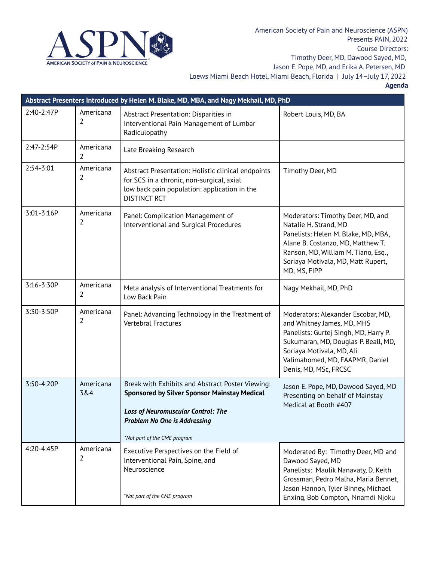

|            | Abstract Presenters Introduced by Helen M. Blake, MD, MBA, and Nagy Mekhail, MD, PhD |                                                                                                                                                                                                                             |                                                                                                                                                                                                                                            |  |  |
|------------|--------------------------------------------------------------------------------------|-----------------------------------------------------------------------------------------------------------------------------------------------------------------------------------------------------------------------------|--------------------------------------------------------------------------------------------------------------------------------------------------------------------------------------------------------------------------------------------|--|--|
| 2:40-2:47P | Americana<br>$\overline{2}$                                                          | Abstract Presentation: Disparities in<br>Interventional Pain Management of Lumbar<br>Radiculopathy                                                                                                                          | Robert Louis, MD, BA                                                                                                                                                                                                                       |  |  |
| 2:47-2:54P | Americana<br>2                                                                       | Late Breaking Research                                                                                                                                                                                                      |                                                                                                                                                                                                                                            |  |  |
| 2:54-3:01  | Americana<br>2                                                                       | Abstract Presentation: Holistic clinical endpoints<br>for SCS in a chronic, non-surgical, axial<br>low back pain population: application in the<br><b>DISTINCT RCT</b>                                                      | Timothy Deer, MD                                                                                                                                                                                                                           |  |  |
| 3:01-3:16P | Americana<br>2                                                                       | Panel: Complication Management of<br>Interventional and Surgical Procedures                                                                                                                                                 | Moderators: Timothy Deer, MD, and<br>Natalie H. Strand, MD<br>Panelists: Helen M. Blake, MD, MBA,<br>Alane B. Costanzo, MD, Matthew T.<br>Ranson, MD, William M. Tiano, Esq.,<br>Soriaya Motivala, MD, Matt Rupert,<br>MD, MS, FIPP        |  |  |
| 3:16-3:30P | Americana<br>2                                                                       | Meta analysis of Interventional Treatments for<br>Low Back Pain                                                                                                                                                             | Nagy Mekhail, MD, PhD                                                                                                                                                                                                                      |  |  |
| 3:30-3:50P | Americana<br>2                                                                       | Panel: Advancing Technology in the Treatment of<br>Vertebral Fractures                                                                                                                                                      | Moderators: Alexander Escobar, MD,<br>and Whitney James, MD, MHS<br>Panelists: Gurtej Singh, MD, Harry P.<br>Sukumaran, MD, Douglas P. Beall, MD,<br>Soriaya Motivala, MD, Ali<br>Valimahomed, MD, FAAPMR, Daniel<br>Denis, MD, MSc, FRCSC |  |  |
| 3:50-4:20P | Americana<br>3&4                                                                     | Break with Exhibits and Abstract Poster Viewing:<br><b>Sponsored by Silver Sponsor Mainstay Medical</b><br><b>Loss of Neuromuscular Control: The</b><br><b>Problem No One is Addressing</b><br>*Not part of the CME program | Jason E. Pope, MD, Dawood Sayed, MD<br>Presenting on behalf of Mainstay<br>Medical at Booth #407                                                                                                                                           |  |  |
| 4:20-4:45P | Americana<br>2                                                                       | Executive Perspectives on the Field of<br>Interventional Pain, Spine, and<br>Neuroscience<br>*Not part of the CME program                                                                                                   | Moderated By: Timothy Deer, MD and<br>Dawood Sayed, MD<br>Panelists: Maulik Nanavaty, D. Keith<br>Grossman, Pedro Malha, Maria Bennet,<br>Jason Hannon, Tyler Binney, Michael<br>Enxing, Bob Compton, Nnamdi Njoku                         |  |  |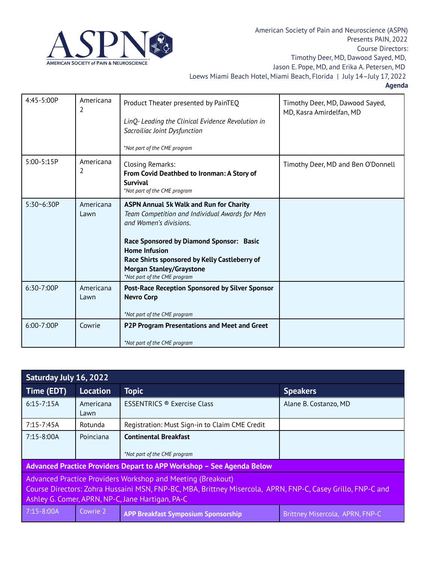

| 4:45-5:00P     | Americana<br>2    | Product Theater presented by PainTEQ<br>LinQ-Leading the Clinical Evidence Revolution in<br>Sacroiliac Joint Dysfunction<br>*Not part of the CME program                                                                                                                                                           | Timothy Deer, MD, Dawood Sayed,<br>MD, Kasra Amirdelfan, MD |
|----------------|-------------------|--------------------------------------------------------------------------------------------------------------------------------------------------------------------------------------------------------------------------------------------------------------------------------------------------------------------|-------------------------------------------------------------|
| 5:00-5:15P     | Americana<br>2    | Closing Remarks:<br>From Covid Deathbed to Ironman: A Story of<br><b>Survival</b><br>*Not part of the CME program                                                                                                                                                                                                  | Timothy Deer, MD and Ben O'Donnell                          |
| $5:30 - 6:30P$ | Americana<br>Lawn | <b>ASPN Annual 5k Walk and Run for Charity</b><br>Team Competition and Individual Awards for Men<br>and Women's divisions.<br>Race Sponsored by Diamond Sponsor: Basic<br><b>Home Infusion</b><br>Race Shirts sponsored by Kelly Castleberry of<br><b>Morgan Stanley/Graystone</b><br>*Not part of the CME program |                                                             |
| 6:30-7:00P     | Americana<br>Lawn | Post-Race Reception Sponsored by Silver Sponsor<br><b>Nevro Corp</b><br>*Not part of the CME program                                                                                                                                                                                                               |                                                             |
| 6:00-7:00P     | Cowrie            | P2P Program Presentations and Meet and Greet<br>*Not part of the CME program                                                                                                                                                                                                                                       |                                                             |

| Saturday July 16, 2022                                                                                                                                                                                                         |                   |                                                              |                                 |  |
|--------------------------------------------------------------------------------------------------------------------------------------------------------------------------------------------------------------------------------|-------------------|--------------------------------------------------------------|---------------------------------|--|
| Time (EDT)                                                                                                                                                                                                                     | <b>Location</b>   | <b>Topic</b>                                                 | <b>Speakers</b>                 |  |
| $6:15 - 7:15A$                                                                                                                                                                                                                 | Americana<br>Lawn | <b>ESSENTRICS ® Exercise Class</b>                           | Alane B. Costanzo, MD           |  |
| $7:15 - 7:45A$                                                                                                                                                                                                                 | Rotunda           | Registration: Must Sign-in to Claim CME Credit               |                                 |  |
| $7:15 - 8:00A$                                                                                                                                                                                                                 | Poinciana         | <b>Continental Breakfast</b><br>*Not part of the CME program |                                 |  |
| Advanced Practice Providers Depart to APP Workshop - See Agenda Below                                                                                                                                                          |                   |                                                              |                                 |  |
| Advanced Practice Providers Workshop and Meeting (Breakout)<br>Course Directors: Zohra Hussaini MSN, FNP-BC, MBA, Brittney Misercola, APRN, FNP-C, Casey Grillo, FNP-C and<br>Ashley G. Comer, APRN, NP-C, Jane Hartigan, PA-C |                   |                                                              |                                 |  |
| $7:15 - 8:00A$                                                                                                                                                                                                                 | Cowrie 2          | <b>APP Breakfast Symposium Sponsorship</b>                   | Brittney Misercola, APRN, FNP-C |  |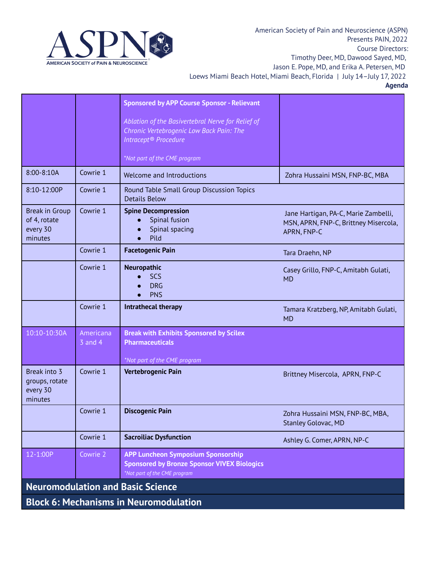

|                                                              |                          | <b>Sponsored by APP Course Sponsor - Relievant</b><br>Ablation of the Basivertebral Nerve for Relief of<br>Chronic Vertebrogenic Low Back Pain: The |                                                                                              |  |
|--------------------------------------------------------------|--------------------------|-----------------------------------------------------------------------------------------------------------------------------------------------------|----------------------------------------------------------------------------------------------|--|
|                                                              |                          | Intracept <sup>®</sup> Procedure                                                                                                                    |                                                                                              |  |
|                                                              |                          | *Not part of the CME program                                                                                                                        |                                                                                              |  |
| 8:00-8:10A                                                   | Cowrie 1                 | Welcome and Introductions                                                                                                                           | Zohra Hussaini MSN, FNP-BC, MBA                                                              |  |
| 8:10-12:00P                                                  | Cowrie 1                 | Round Table Small Group Discussion Topics<br><b>Details Below</b>                                                                                   |                                                                                              |  |
| <b>Break in Group</b><br>of 4, rotate<br>every 30<br>minutes | Cowrie 1                 | <b>Spine Decompression</b><br>Spinal fusion<br>Spinal spacing<br>Pild<br>$\bullet$                                                                  | Jane Hartigan, PA-C, Marie Zambelli,<br>MSN, APRN, FNP-C, Brittney Misercola,<br>APRN, FNP-C |  |
|                                                              | Cowrie 1                 | <b>Facetogenic Pain</b>                                                                                                                             | Tara Draehn, NP                                                                              |  |
|                                                              | Cowrie 1                 | Neuropathic<br>SCS<br><b>DRG</b><br><b>PNS</b>                                                                                                      | Casey Grillo, FNP-C, Amitabh Gulati,<br><b>MD</b>                                            |  |
|                                                              | Cowrie 1                 | Intrathecal therapy                                                                                                                                 | Tamara Kratzberg, NP, Amitabh Gulati,<br><b>MD</b>                                           |  |
| 10:10-10:30A                                                 | Americana<br>$3$ and $4$ | <b>Break with Exhibits Sponsored by Scilex</b><br><b>Pharmaceuticals</b><br>*Not part of the CME program                                            |                                                                                              |  |
| Break into 3<br>groups, rotate<br>every 30<br>minutes        | Cowrie 1                 | Vertebrogenic Pain                                                                                                                                  | Brittney Misercola, APRN, FNP-C                                                              |  |
|                                                              | Cowrie 1                 | <b>Discogenic Pain</b>                                                                                                                              | Zohra Hussaini MSN, FNP-BC, MBA,<br><b>Stanley Golovac, MD</b>                               |  |
|                                                              | Cowrie 1                 | <b>Sacroiliac Dysfunction</b>                                                                                                                       | Ashley G. Comer, APRN, NP-C                                                                  |  |
| 12-1:00P                                                     | Cowrie 2                 | <b>APP Luncheon Symposium Sponsorship</b><br><b>Sponsored by Bronze Sponsor VIVEX Biologics</b><br>*Not part of the CME program                     |                                                                                              |  |
|                                                              |                          | <b>Neuromodulation and Basic Science</b>                                                                                                            |                                                                                              |  |
| <b>Block 6: Mechanisms in Neuromodulation</b>                |                          |                                                                                                                                                     |                                                                                              |  |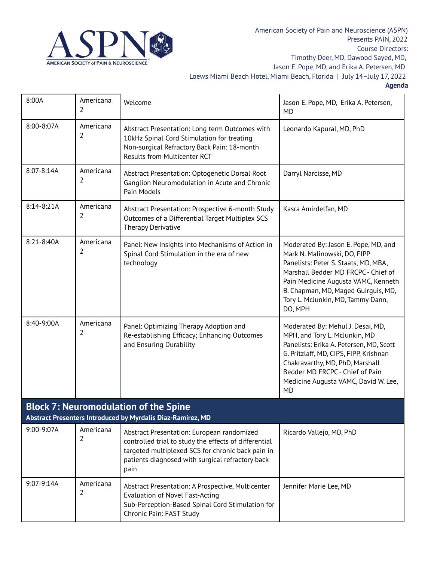

| 8:00A      | Americana<br>2                                                                                              | Welcome                                                                                                                                                                                                              | Jason E. Pope, MD, Erika A. Petersen,<br><b>MD</b>                                                                                                                                                                                                                                 |  |  |
|------------|-------------------------------------------------------------------------------------------------------------|----------------------------------------------------------------------------------------------------------------------------------------------------------------------------------------------------------------------|------------------------------------------------------------------------------------------------------------------------------------------------------------------------------------------------------------------------------------------------------------------------------------|--|--|
| 8:00-8:07A | Americana<br>2                                                                                              | Abstract Presentation: Long term Outcomes with<br>10kHz Spinal Cord Stimulation for treating<br>Non-surgical Refractory Back Pain: 18-month<br><b>Results from Multicenter RCT</b>                                   | Leonardo Kapural, MD, PhD                                                                                                                                                                                                                                                          |  |  |
| 8:07-8:14A | Americana<br>$\overline{2}$                                                                                 | Abstract Presentation: Optogenetic Dorsal Root<br>Ganglion Neuromodulation in Acute and Chronic<br>Pain Models                                                                                                       | Darryl Narcisse, MD                                                                                                                                                                                                                                                                |  |  |
| 8:14-8:21A | Americana<br>2                                                                                              | Abstract Presentation: Prospective 6-month Study<br>Outcomes of a Differential Target Multiplex SCS<br><b>Therapy Derivative</b>                                                                                     | Kasra Amirdelfan, MD                                                                                                                                                                                                                                                               |  |  |
| 8:21-8:40A | Americana<br>2                                                                                              | Panel: New Insights into Mechanisms of Action in<br>Spinal Cord Stimulation in the era of new<br>technology                                                                                                          | Moderated By: Jason E. Pope, MD, and<br>Mark N. Malinowski, DO, FIPP<br>Panelists: Peter S. Staats, MD, MBA,<br>Marshall Bedder MD FRCPC - Chief of<br>Pain Medicine Augusta VAMC, Kenneth<br>B. Chapman, MD, Maged Guirguis, MD,<br>Tory L. McJunkin, MD, Tammy Dann,<br>DO, MPH  |  |  |
| 8:40-9:00A | Americana<br>2                                                                                              | Panel: Optimizing Therapy Adoption and<br>Re-establishing Efficacy; Enhancing Outcomes<br>and Ensuring Durability                                                                                                    | Moderated By: Mehul J. Desai, MD,<br>MPH, and Tory L. McJunkin, MD<br>Panelists: Erika A. Petersen, MD, Scott<br>G. Pritzlaff, MD, CIPS, FIPP, Krishnan<br>Chakravarthy, MD, PhD, Marshall<br>Bedder MD FRCPC - Chief of Pain<br>Medicine Augusta VAMC, David W. Lee,<br><b>MD</b> |  |  |
|            | <b>Block 7: Neuromodulation of the Spine</b><br>Abstract Presenters Introduced by Myrdalis Diaz-Ramirez, MD |                                                                                                                                                                                                                      |                                                                                                                                                                                                                                                                                    |  |  |
| 9:00-9:07A | Americana<br>2                                                                                              | Abstract Presentation: European randomized<br>controlled trial to study the effects of differential<br>targeted multiplexed SCS for chronic back pain in<br>patients diagnosed with surgical refractory back<br>pain | Ricardo Vallejo, MD, PhD                                                                                                                                                                                                                                                           |  |  |
| 9:07-9:14A | Americana<br>2                                                                                              | Abstract Presentation: A Prospective, Multicenter<br><b>Evaluation of Novel Fast-Acting</b><br>Sub-Perception-Based Spinal Cord Stimulation for<br>Chronic Pain: FAST Study                                          | Jennifer Marie Lee, MD                                                                                                                                                                                                                                                             |  |  |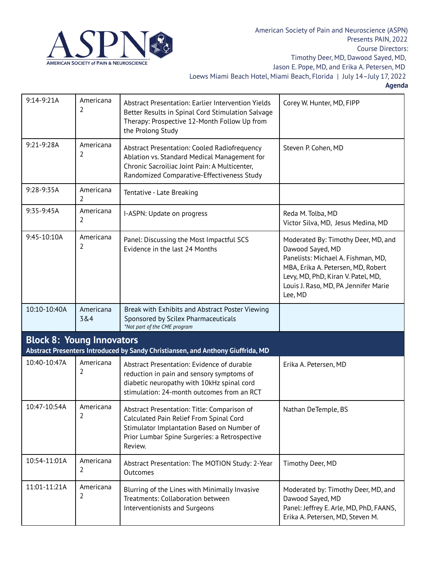

| 9:14-9:21A                       | Americana<br>2   | Abstract Presentation: Earlier Intervention Yields<br>Better Results in Spinal Cord Stimulation Salvage<br>Therapy: Prospective 12-Month Follow Up from<br>the Prolong Study                     | Corey W. Hunter, MD, FIPP                                                                                                                                                                                                      |
|----------------------------------|------------------|--------------------------------------------------------------------------------------------------------------------------------------------------------------------------------------------------|--------------------------------------------------------------------------------------------------------------------------------------------------------------------------------------------------------------------------------|
| 9:21-9:28A                       | Americana<br>2   | Abstract Presentation: Cooled Radiofrequency<br>Ablation vs. Standard Medical Management for<br>Chronic Sacroiliac Joint Pain: A Multicenter,<br>Randomized Comparative-Effectiveness Study      | Steven P. Cohen, MD                                                                                                                                                                                                            |
| 9:28-9:35A                       | Americana<br>2   | Tentative - Late Breaking                                                                                                                                                                        |                                                                                                                                                                                                                                |
| 9:35-9:45A                       | Americana<br>2   | I-ASPN: Update on progress                                                                                                                                                                       | Reda M. Tolba, MD<br>Victor Silva, MD, Jesus Medina, MD                                                                                                                                                                        |
| 9:45-10:10A                      | Americana<br>2   | Panel: Discussing the Most Impactful SCS<br>Evidence in the last 24 Months                                                                                                                       | Moderated By: Timothy Deer, MD, and<br>Dawood Sayed, MD<br>Panelists: Michael A. Fishman, MD,<br>MBA, Erika A. Petersen, MD, Robert<br>Levy, MD, PhD, Kiran V. Patel, MD,<br>Louis J. Raso, MD, PA , Jennifer Marie<br>Lee, MD |
| 10:10-10:40A                     | Americana<br>3&4 | Break with Exhibits and Abstract Poster Viewing<br>Sponsored by Scilex Pharmaceuticals<br>*Not part of the CME program                                                                           |                                                                                                                                                                                                                                |
| <b>Block 8: Young Innovators</b> |                  | Abstract Presenters Introduced by Sandy Christiansen, and Anthony Giuffrida, MD                                                                                                                  |                                                                                                                                                                                                                                |
| 10:40-10:47A                     | Americana<br>2   | Abstract Presentation: Evidence of durable<br>reduction in pain and sensory symptoms of<br>diabetic neuropathy with 10kHz spinal cord<br>stimulation: 24-month outcomes from an RCT              | Erika A. Petersen, MD                                                                                                                                                                                                          |
| 10:47-10:54A                     | Americana<br>2   | Abstract Presentation: Title: Comparison of<br>Calculated Pain Relief From Spinal Cord<br>Stimulator Implantation Based on Number of<br>Prior Lumbar Spine Surgeries: a Retrospective<br>Review. | Nathan DeTemple, BS                                                                                                                                                                                                            |
| 10:54-11:01A                     | Americana<br>2   | Abstract Presentation: The MOTION Study: 2-Year<br>Outcomes                                                                                                                                      | Timothy Deer, MD                                                                                                                                                                                                               |
| 11:01-11:21A                     | Americana<br>2   | Blurring of the Lines with Minimally Invasive<br>Treatments: Collaboration between<br>Interventionists and Surgeons                                                                              | Moderated by: Timothy Deer, MD, and<br>Dawood Sayed, MD<br>Panel: Jeffrey E. Arle, MD, PhD, FAANS,<br>Erika A. Petersen, MD, Steven M.                                                                                         |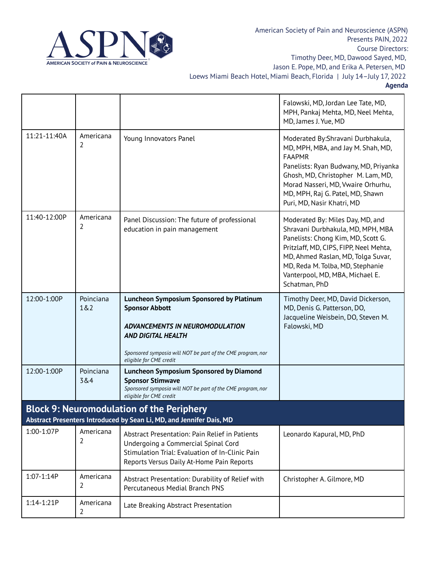

American Society of Pain and Neuroscience (ASPN) Presents PAIN, 2022 Course Directors: Timothy Deer, MD, Dawood Sayed, MD, Jason E. Pope, MD, and Erika A. Petersen, MD Loews Miami Beach Hotel, Miami Beach, Florida | July 14–July 17, 2022

|                                                                      |                  |                                                                                                                                                                                                                                    | Falowski, MD, Jordan Lee Tate, MD,<br>MPH, Pankaj Mehta, MD, Neel Mehta,<br>MD, James J. Yue, MD                                                                                                                                                                                    |  |  |
|----------------------------------------------------------------------|------------------|------------------------------------------------------------------------------------------------------------------------------------------------------------------------------------------------------------------------------------|-------------------------------------------------------------------------------------------------------------------------------------------------------------------------------------------------------------------------------------------------------------------------------------|--|--|
| 11:21-11:40A                                                         | Americana<br>2   | Young Innovators Panel                                                                                                                                                                                                             | Moderated By: Shravani Durbhakula,<br>MD, MPH, MBA, and Jay M. Shah, MD,<br><b>FAAPMR</b><br>Panelists: Ryan Budwany, MD, Priyanka<br>Ghosh, MD, Christopher M. Lam, MD,<br>Morad Nasseri, MD, Vwaire Orhurhu,<br>MD, MPH, Raj G. Patel, MD, Shawn<br>Puri, MD, Nasir Khatri, MD    |  |  |
| 11:40-12:00P                                                         | Americana<br>2   | Panel Discussion: The future of professional<br>education in pain management                                                                                                                                                       | Moderated By: Miles Day, MD, and<br>Shravani Durbhakula, MD, MPH, MBA<br>Panelists: Chong Kim, MD, Scott G.<br>Pritzlaff, MD, CIPS, FIPP, Neel Mehta,<br>MD, Ahmed Raslan, MD, Tolga Suvar,<br>MD, Reda M. Tolba, MD, Stephanie<br>Vanterpool, MD, MBA, Michael E.<br>Schatman, PhD |  |  |
| 12:00-1:00P                                                          | Poinciana<br>1&2 | <b>Luncheon Symposium Sponsored by Platinum</b><br><b>Sponsor Abbott</b><br>ADVANCEMENTS IN NEUROMODULATION<br><b>AND DIGITAL HEALTH</b><br>Sponsored symposia will NOT be part of the CME program, nor<br>eligible for CME credit | Timothy Deer, MD, David Dickerson,<br>MD, Denis G. Patterson, DO,<br>Jacqueline Weisbein, DO, Steven M.<br>Falowski, MD                                                                                                                                                             |  |  |
| 12:00-1:00P                                                          | Poinciana<br>3&4 | <b>Luncheon Symposium Sponsored by Diamond</b><br><b>Sponsor Stimwave</b><br>Sponsored symposia will NOT be part of the CME program, nor<br>eligible for CME credit                                                                |                                                                                                                                                                                                                                                                                     |  |  |
| <b>Block 9: Neuromodulation of the Periphery</b>                     |                  |                                                                                                                                                                                                                                    |                                                                                                                                                                                                                                                                                     |  |  |
| Abstract Presenters Introduced by Sean Li, MD, and Jennifer Dais, MD |                  |                                                                                                                                                                                                                                    |                                                                                                                                                                                                                                                                                     |  |  |
| 1:00-1:07P                                                           | Americana<br>2   | Abstract Presentation: Pain Relief in Patients<br>Undergoing a Commercial Spinal Cord<br>Stimulation Trial: Evaluation of In-Clinic Pain<br>Reports Versus Daily At-Home Pain Reports                                              | Leonardo Kapural, MD, PhD                                                                                                                                                                                                                                                           |  |  |
| 1:07-1:14P                                                           | Americana<br>2   | Abstract Presentation: Durability of Relief with<br>Percutaneous Medial Branch PNS                                                                                                                                                 | Christopher A. Gilmore, MD                                                                                                                                                                                                                                                          |  |  |
| 1:14-1:21P                                                           | Americana<br>2   | Late Breaking Abstract Presentation                                                                                                                                                                                                |                                                                                                                                                                                                                                                                                     |  |  |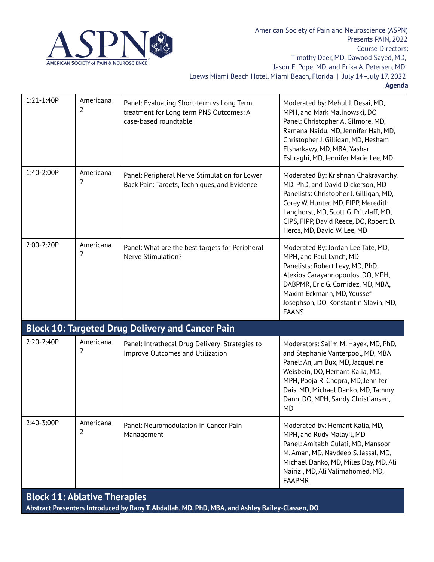

| 1:21-1:40P                                                                                                                             | Americana<br>2 | Panel: Evaluating Short-term vs Long Term<br>treatment for Long term PNS Outcomes: A<br>case-based roundtable | Moderated by: Mehul J. Desai, MD,<br>MPH, and Mark Malinowski, DO<br>Panel: Christopher A. Gilmore, MD,<br>Ramana Naidu, MD, Jennifer Hah, MD,<br>Christopher J. Gilligan, MD, Hesham<br>Elsharkawy, MD, MBA, Yashar<br>Eshraghi, MD, Jennifer Marie Lee, MD                    |
|----------------------------------------------------------------------------------------------------------------------------------------|----------------|---------------------------------------------------------------------------------------------------------------|---------------------------------------------------------------------------------------------------------------------------------------------------------------------------------------------------------------------------------------------------------------------------------|
| 1:40-2:00P                                                                                                                             | Americana<br>2 | Panel: Peripheral Nerve Stimulation for Lower<br>Back Pain: Targets, Techniques, and Evidence                 | Moderated By: Krishnan Chakravarthy,<br>MD, PhD, and David Dickerson, MD<br>Panelists: Christopher J. Gilligan, MD,<br>Corey W. Hunter, MD, FIPP, Meredith<br>Langhorst, MD, Scott G. Pritzlaff, MD,<br>CIPS, FIPP, David Reece, DO, Robert D.<br>Heros, MD, David W. Lee, MD   |
| 2:00-2:20P                                                                                                                             | Americana<br>2 | Panel: What are the best targets for Peripheral<br>Nerve Stimulation?                                         | Moderated By: Jordan Lee Tate, MD,<br>MPH, and Paul Lynch, MD<br>Panelists: Robert Levy, MD, PhD,<br>Alexios Carayannopoulos, DO, MPH,<br>DABPMR, Eric G. Cornidez, MD, MBA,<br>Maxim Eckmann, MD, Youssef<br>Josephson, DO, Konstantin Slavin, MD,<br><b>FAANS</b>             |
|                                                                                                                                        |                | <b>Block 10: Targeted Drug Delivery and Cancer Pain</b>                                                       |                                                                                                                                                                                                                                                                                 |
| 2:20-2:40P                                                                                                                             | Americana<br>2 | Panel: Intrathecal Drug Delivery: Strategies to<br>Improve Outcomes and Utilization                           | Moderators: Salim M. Hayek, MD, PhD,<br>and Stephanie Vanterpool, MD, MBA<br>Panel: Anjum Bux, MD, Jacqueline<br>Weisbein, DO, Hemant Kalia, MD,<br>MPH, Pooja R. Chopra, MD, Jennifer<br>Dais, MD, Michael Danko, MD, Tammy<br>Dann, DO, MPH, Sandy Christiansen,<br><b>MD</b> |
| 2:40-3:00P                                                                                                                             | Americana<br>2 | Panel: Neuromodulation in Cancer Pain<br>Management                                                           | Moderated by: Hemant Kalia, MD,<br>MPH, and Rudy Malayil, MD<br>Panel: Amitabh Gulati, MD, Mansoor<br>M. Aman, MD, Navdeep S. Jassal, MD,<br>Michael Danko, MD, Miles Day, MD, Ali<br>Nairizi, MD, Ali Valimahomed, MD,<br><b>FAAPMR</b>                                        |
| <b>Block 11: Ablative Therapies</b><br>Abstract Presenters Introduced by Rany T. Abdallah, MD, PhD, MBA, and Ashley Bailey-Classen, DO |                |                                                                                                               |                                                                                                                                                                                                                                                                                 |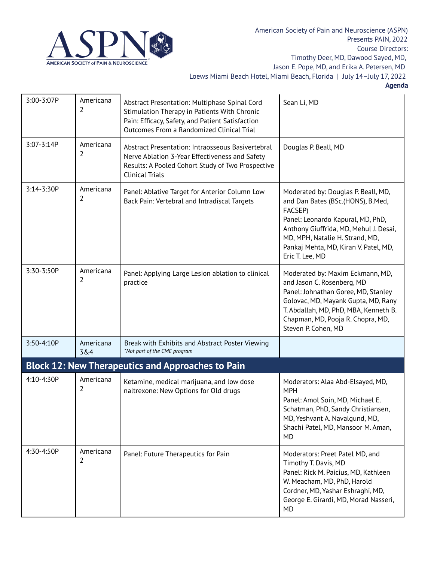

| 3:00-3:07P | Americana<br>2   | Abstract Presentation: Multiphase Spinal Cord<br>Stimulation Therapy in Patients With Chronic<br>Pain: Efficacy, Safety, and Patient Satisfaction<br>Outcomes From a Randomized Clinical Trial | Sean Li, MD                                                                                                                                                                                                                                                       |
|------------|------------------|------------------------------------------------------------------------------------------------------------------------------------------------------------------------------------------------|-------------------------------------------------------------------------------------------------------------------------------------------------------------------------------------------------------------------------------------------------------------------|
| 3:07-3:14P | Americana<br>2   | Abstract Presentation: Intraosseous Basivertebral<br>Nerve Ablation 3-Year Effectiveness and Safety<br>Results: A Pooled Cohort Study of Two Prospective<br><b>Clinical Trials</b>             | Douglas P. Beall, MD                                                                                                                                                                                                                                              |
| 3:14-3:30P | Americana<br>2   | Panel: Ablative Target for Anterior Column Low<br>Back Pain: Vertebral and Intradiscal Targets                                                                                                 | Moderated by: Douglas P. Beall, MD,<br>and Dan Bates (BSc.(HONS), B.Med,<br>FACSEP)<br>Panel: Leonardo Kapural, MD, PhD,<br>Anthony Giuffrida, MD, Mehul J. Desai,<br>MD, MPH, Natalie H. Strand, MD,<br>Pankaj Mehta, MD, Kiran V. Patel, MD,<br>Eric T. Lee, MD |
| 3:30-3:50P | Americana<br>2   | Panel: Applying Large Lesion ablation to clinical<br>practice                                                                                                                                  | Moderated by: Maxim Eckmann, MD,<br>and Jason C. Rosenberg, MD<br>Panel: Johnathan Goree, MD, Stanley<br>Golovac, MD, Mayank Gupta, MD, Rany<br>T. Abdallah, MD, PhD, MBA, Kenneth B.<br>Chapman, MD, Pooja R. Chopra, MD,<br>Steven P. Cohen, MD                 |
| 3:50-4:10P | Americana<br>3&4 | Break with Exhibits and Abstract Poster Viewing<br>*Not part of the CME program                                                                                                                |                                                                                                                                                                                                                                                                   |
|            |                  | <b>Block 12: New Therapeutics and Approaches to Pain</b>                                                                                                                                       |                                                                                                                                                                                                                                                                   |
| 4:10-4:30P | Americana<br>2   | Ketamine, medical marijuana, and low dose<br>naltrexone: New Options for Old drugs                                                                                                             | Moderators: Alaa Abd-Elsayed, MD,<br><b>MPH</b><br>Panel: Amol Soin, MD, Michael E.<br>Schatman, PhD, Sandy Christiansen,<br>MD, Yeshvant A. Navalgund, MD,<br>Shachi Patel, MD, Mansoor M. Aman,<br>MD                                                           |
| 4:30-4:50P | Americana<br>2   | Panel: Future Therapeutics for Pain                                                                                                                                                            | Moderators: Preet Patel MD, and<br>Timothy T. Davis, MD<br>Panel: Rick M. Paicius, MD, Kathleen<br>W. Meacham, MD, PhD, Harold<br>Cordner, MD, Yashar Eshraghi, MD,<br>George E. Girardi, MD, Morad Nasseri,<br>MD                                                |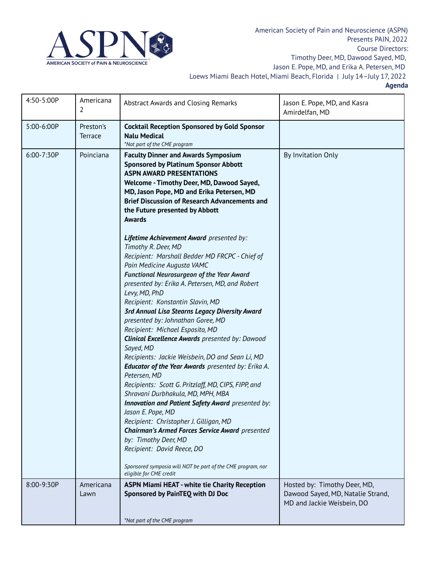

| 4:50-5:00P | Americana<br>2              | Abstract Awards and Closing Remarks                                                                                                                                                                                                                                                                                                                                                                                                                                                                                                                                                                                                                                                                                                                                                                  | Jason E. Pope, MD, and Kasra<br>Amirdelfan, MD                                                  |
|------------|-----------------------------|------------------------------------------------------------------------------------------------------------------------------------------------------------------------------------------------------------------------------------------------------------------------------------------------------------------------------------------------------------------------------------------------------------------------------------------------------------------------------------------------------------------------------------------------------------------------------------------------------------------------------------------------------------------------------------------------------------------------------------------------------------------------------------------------------|-------------------------------------------------------------------------------------------------|
| 5:00-6:00P | Preston's<br><b>Terrace</b> | <b>Cocktail Reception Sponsored by Gold Sponsor</b><br><b>Nalu Medical</b><br>*Not part of the CME program                                                                                                                                                                                                                                                                                                                                                                                                                                                                                                                                                                                                                                                                                           |                                                                                                 |
| 6:00-7:30P | Poinciana                   | <b>Faculty Dinner and Awards Symposium</b><br><b>Sponsored by Platinum Sponsor Abbott</b><br><b>ASPN AWARD PRESENTATIONS</b><br>Welcome - Timothy Deer, MD, Dawood Sayed,<br>MD, Jason Pope, MD and Erika Petersen, MD<br><b>Brief Discussion of Research Advancements and</b><br>the Future presented by Abbott<br><b>Awards</b>                                                                                                                                                                                                                                                                                                                                                                                                                                                                    | By Invitation Only                                                                              |
|            |                             | Lifetime Achievement Award presented by:<br>Timothy R. Deer, MD<br>Recipient: Marshall Bedder MD FRCPC - Chief of<br>Pain Medicine Augusta VAMC<br><b>Functional Neurosurgeon of the Year Award</b><br>presented by: Erika A. Petersen, MD, and Robert<br>Levy, MD, PhD<br>Recipient: Konstantin Slavin, MD<br><b>3rd Annual Lisa Stearns Legacy Diversity Award</b><br>presented by: Johnathan Goree, MD<br>Recipient: Michael Esposito, MD<br><b>Clinical Excellence Awards</b> presented by: Dawood<br>Sayed, MD<br>Recipients: Jackie Weisbein, DO and Sean Li, MD<br><b>Educator of the Year Awards</b> presented by: Erika A.<br>Petersen, MD<br>Recipients: Scott G. Pritzlaff, MD, CIPS, FIPP, and<br>Shravani Durbhakula, MD, MPH, MBA<br>Innovation and Patient Safety Award presented by: |                                                                                                 |
|            |                             | Jason E. Pope, MD<br>Recipient: Christopher J. Gilligan, MD<br><b>Chairman's Armed Forces Service Award</b> presented<br>by: Timothy Deer, MD<br>Recipient: David Reece, DO<br>Sponsored symposia will NOT be part of the CME program, nor<br>eligible for CME credit                                                                                                                                                                                                                                                                                                                                                                                                                                                                                                                                |                                                                                                 |
| 8:00-9:30P | Americana<br>Lawn           | <b>ASPN Miami HEAT - white tie Charity Reception</b><br>Sponsored by PainTEQ with DJ Doc<br>*Not part of the CME program                                                                                                                                                                                                                                                                                                                                                                                                                                                                                                                                                                                                                                                                             | Hosted by: Timothy Deer, MD,<br>Dawood Sayed, MD, Natalie Strand,<br>MD and Jackie Weisbein, DO |
|            |                             |                                                                                                                                                                                                                                                                                                                                                                                                                                                                                                                                                                                                                                                                                                                                                                                                      |                                                                                                 |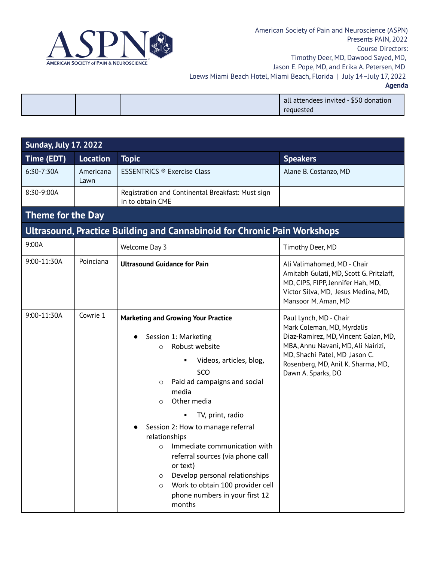

|--|

|  | all attendees invited - \$50 donation<br>requested |
|--|----------------------------------------------------|
|  |                                                    |

| <b>Sunday, July 17. 2022</b> |                   |                                                                                                                                                                                                                                                                                                                                                                                                                                                                                                                                |                                                                                                                                                                                                                                   |
|------------------------------|-------------------|--------------------------------------------------------------------------------------------------------------------------------------------------------------------------------------------------------------------------------------------------------------------------------------------------------------------------------------------------------------------------------------------------------------------------------------------------------------------------------------------------------------------------------|-----------------------------------------------------------------------------------------------------------------------------------------------------------------------------------------------------------------------------------|
| Time (EDT)                   | <b>Location</b>   | <b>Topic</b>                                                                                                                                                                                                                                                                                                                                                                                                                                                                                                                   | <b>Speakers</b>                                                                                                                                                                                                                   |
| 6:30-7:30A                   | Americana<br>Lawn | <b>ESSENTRICS ® Exercise Class</b>                                                                                                                                                                                                                                                                                                                                                                                                                                                                                             | Alane B. Costanzo, MD                                                                                                                                                                                                             |
| 8:30-9:00A                   |                   | Registration and Continental Breakfast: Must sign<br>in to obtain CME                                                                                                                                                                                                                                                                                                                                                                                                                                                          |                                                                                                                                                                                                                                   |
| Theme for the Day            |                   |                                                                                                                                                                                                                                                                                                                                                                                                                                                                                                                                |                                                                                                                                                                                                                                   |
|                              |                   | <b>Ultrasound, Practice Building and Cannabinoid for Chronic Pain Workshops</b>                                                                                                                                                                                                                                                                                                                                                                                                                                                |                                                                                                                                                                                                                                   |
| 9:00A                        |                   | Welcome Day 3                                                                                                                                                                                                                                                                                                                                                                                                                                                                                                                  | Timothy Deer, MD                                                                                                                                                                                                                  |
| 9:00-11:30A                  | Poinciana         | <b>Ultrasound Guidance for Pain</b>                                                                                                                                                                                                                                                                                                                                                                                                                                                                                            | Ali Valimahomed, MD - Chair<br>Amitabh Gulati, MD, Scott G. Pritzlaff,<br>MD, CIPS, FIPP, Jennifer Hah, MD,<br>Victor Silva, MD, Jesus Medina, MD,<br>Mansoor M. Aman, MD                                                         |
| 9:00-11:30A                  | Cowrie 1          | <b>Marketing and Growing Your Practice</b><br>Session 1: Marketing<br>Robust website<br>$\Omega$<br>Videos, articles, blog,<br>SCO<br>Paid ad campaigns and social<br>$\circ$<br>media<br>Other media<br>$\Omega$<br>TV, print, radio<br>Session 2: How to manage referral<br>relationships<br>Immediate communication with<br>$\circ$<br>referral sources (via phone call<br>or text)<br>Develop personal relationships<br>$\circ$<br>Work to obtain 100 provider cell<br>$\circ$<br>phone numbers in your first 12<br>months | Paul Lynch, MD - Chair<br>Mark Coleman, MD, Myrdalis<br>Diaz-Ramirez, MD, Vincent Galan, MD,<br>MBA, Annu Navani, MD, Ali Nairizi,<br>MD, Shachi Patel, MD , Jason C.<br>Rosenberg, MD, Anil K. Sharma, MD,<br>Dawn A. Sparks, DO |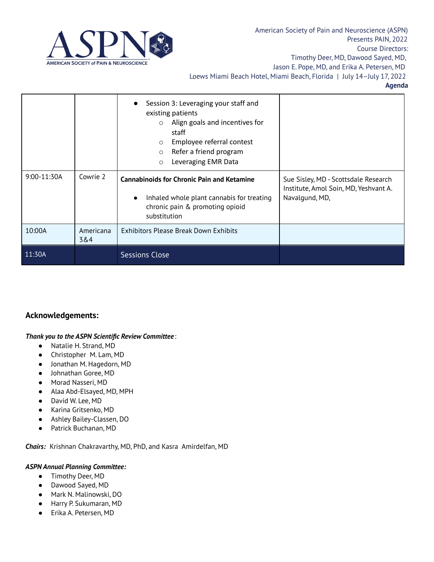

|                 |                  | Session 3: Leveraging your staff and<br>existing patients<br>Align goals and incentives for<br>$\circ$<br>staff<br>Employee referral contest<br>$\circ$<br>Refer a friend program<br>$\circ$<br>Leveraging EMR Data<br>$\circ$ |                                                                                                 |
|-----------------|------------------|--------------------------------------------------------------------------------------------------------------------------------------------------------------------------------------------------------------------------------|-------------------------------------------------------------------------------------------------|
| $9:00 - 11:30A$ | Cowrie 2         | <b>Cannabinoids for Chronic Pain and Ketamine</b><br>Inhaled whole plant cannabis for treating<br>chronic pain & promoting opioid<br>substitution                                                                              | Sue Sisley, MD - Scottsdale Research<br>Institute, Amol Soin, MD, Yeshvant A.<br>Navalgund, MD, |
| 10:00A          | Americana<br>3&4 | <b>Exhibitors Please Break Down Exhibits</b>                                                                                                                                                                                   |                                                                                                 |
| 11:30A          |                  | <b>Sessions Close</b>                                                                                                                                                                                                          |                                                                                                 |

## **Acknowledgements:**

#### *Thank you to the ASPN Scientific Review Committee* :

- Natalie H. Strand, MD
- Christopher M. Lam, MD
- Jonathan M. Hagedorn, MD
- Johnathan Goree, MD
- Morad Nasseri, MD
- Alaa Abd-Elsayed, MD, MPH
- David W. Lee, MD
- Karina Gritsenko, MD
- Ashley Bailey-Classen, DO
- Patrick Buchanan, MD

*Chairs:* Krishnan Chakravarthy, MD, PhD, and Kasra Amirdelfan, MD

#### *ASPN Annual Planning Committee:*

- Timothy Deer, MD
- Dawood Sayed, MD
- Mark N. Malinowski, DO
- Harry P. Sukumaran, MD
- Erika A. Petersen, MD